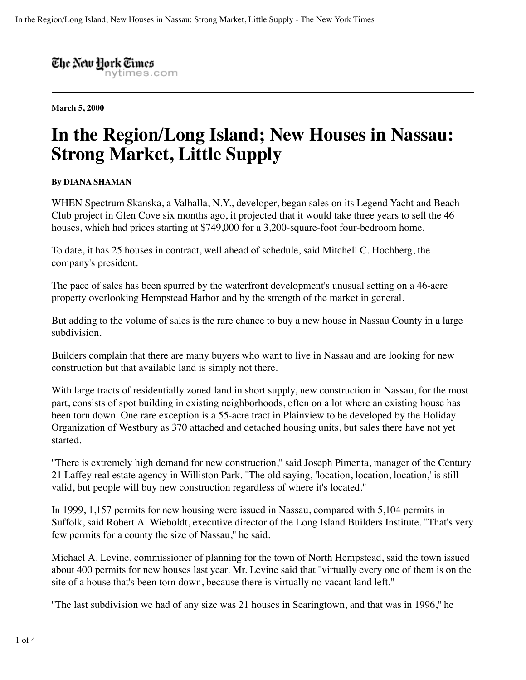The New Hork Times nytimes.com

**March 5, 2000**

## **In the Region/Long Island; New Houses in Nassau: Strong Market, Little Supply**

## **By DIANA SHAMAN**

WHEN Spectrum Skanska, a Valhalla, N.Y., developer, began sales on its Legend Yacht and Beach Club project in Glen Cove six months ago, it projected that it would take three years to sell the 46 houses, which had prices starting at \$749,000 for a 3,200-square-foot four-bedroom home.

To date, it has 25 houses in contract, well ahead of schedule, said Mitchell C. Hochberg, the company's president.

The pace of sales has been spurred by the waterfront development's unusual setting on a 46-acre property overlooking Hempstead Harbor and by the strength of the market in general.

But adding to the volume of sales is the rare chance to buy a new house in Nassau County in a large subdivision.

Builders complain that there are many buyers who want to live in Nassau and are looking for new construction but that available land is simply not there.

With large tracts of residentially zoned land in short supply, new construction in Nassau, for the most part, consists of spot building in existing neighborhoods, often on a lot where an existing house has been torn down. One rare exception is a 55-acre tract in Plainview to be developed by the Holiday Organization of Westbury as 370 attached and detached housing units, but sales there have not yet started.

''There is extremely high demand for new construction,'' said Joseph Pimenta, manager of the Century 21 Laffey real estate agency in Williston Park. ''The old saying, 'location, location, location,' is still valid, but people will buy new construction regardless of where it's located.''

In 1999, 1,157 permits for new housing were issued in Nassau, compared with 5,104 permits in Suffolk, said Robert A. Wieboldt, executive director of the Long Island Builders Institute. ''That's very few permits for a county the size of Nassau,'' he said.

Michael A. Levine, commissioner of planning for the town of North Hempstead, said the town issued about 400 permits for new houses last year. Mr. Levine said that ''virtually every one of them is on the site of a house that's been torn down, because there is virtually no vacant land left.''

''The last subdivision we had of any size was 21 houses in Searingtown, and that was in 1996,'' he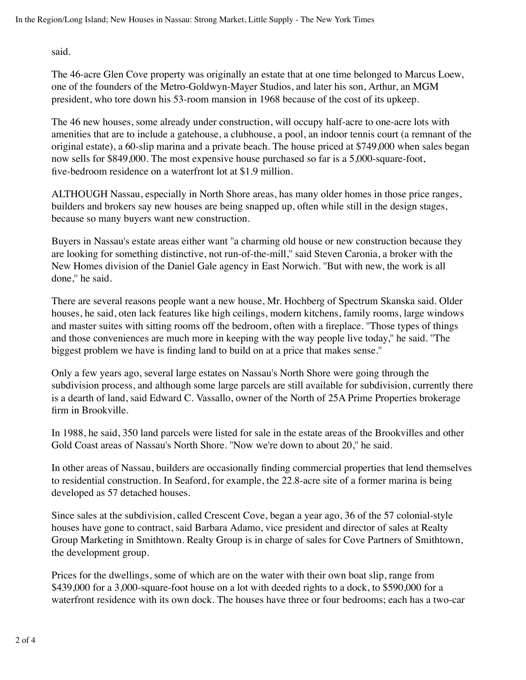said.

The 46-acre Glen Cove property was originally an estate that at one time belonged to Marcus Loew, one of the founders of the Metro-Goldwyn-Mayer Studios, and later his son, Arthur, an MGM president, who tore down his 53-room mansion in 1968 because of the cost of its upkeep.

The 46 new houses, some already under construction, will occupy half-acre to one-acre lots with amenities that are to include a gatehouse, a clubhouse, a pool, an indoor tennis court (a remnant of the original estate), a 60-slip marina and a private beach. The house priced at \$749,000 when sales began now sells for \$849,000. The most expensive house purchased so far is a 5,000-square-foot, five-bedroom residence on a waterfront lot at \$1.9 million.

ALTHOUGH Nassau, especially in North Shore areas, has many older homes in those price ranges, builders and brokers say new houses are being snapped up, often while still in the design stages, because so many buyers want new construction.

Buyers in Nassau's estate areas either want ''a charming old house or new construction because they are looking for something distinctive, not run-of-the-mill,'' said Steven Caronia, a broker with the New Homes division of the Daniel Gale agency in East Norwich. ''But with new, the work is all done,'' he said.

There are several reasons people want a new house, Mr. Hochberg of Spectrum Skanska said. Older houses, he said, oten lack features like high ceilings, modern kitchens, family rooms, large windows and master suites with sitting rooms off the bedroom, often with a fireplace. ''Those types of things and those conveniences are much more in keeping with the way people live today,'' he said. ''The biggest problem we have is finding land to build on at a price that makes sense.''

Only a few years ago, several large estates on Nassau's North Shore were going through the subdivision process, and although some large parcels are still available for subdivision, currently there is a dearth of land, said Edward C. Vassallo, owner of the North of 25A Prime Properties brokerage firm in Brookville.

In 1988, he said, 350 land parcels were listed for sale in the estate areas of the Brookvilles and other Gold Coast areas of Nassau's North Shore. ''Now we're down to about 20,'' he said.

In other areas of Nassau, builders are occasionally finding commercial properties that lend themselves to residential construction. In Seaford, for example, the 22.8-acre site of a former marina is being developed as 57 detached houses.

Since sales at the subdivision, called Crescent Cove, began a year ago, 36 of the 57 colonial-style houses have gone to contract, said Barbara Adamo, vice president and director of sales at Realty Group Marketing in Smithtown. Realty Group is in charge of sales for Cove Partners of Smithtown, the development group.

Prices for the dwellings, some of which are on the water with their own boat slip, range from \$439,000 for a 3,000-square-foot house on a lot with deeded rights to a dock, to \$590,000 for a waterfront residence with its own dock. The houses have three or four bedrooms; each has a two-car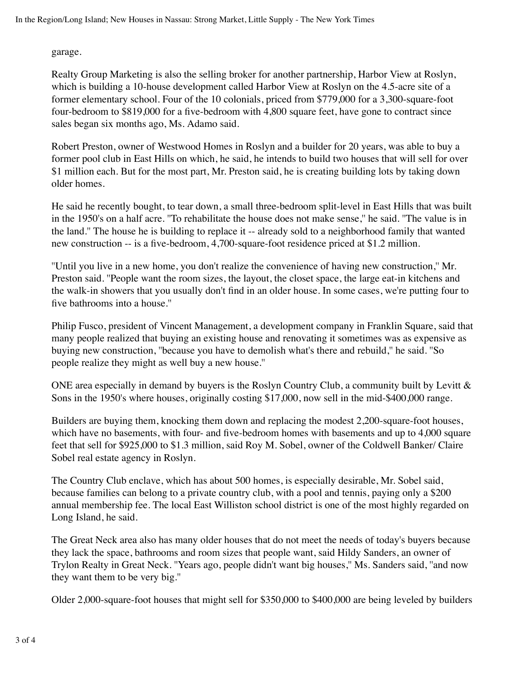garage.

Realty Group Marketing is also the selling broker for another partnership, Harbor View at Roslyn, which is building a 10-house development called Harbor View at Roslyn on the 4.5-acre site of a former elementary school. Four of the 10 colonials, priced from \$779,000 for a 3,300-square-foot four-bedroom to \$819,000 for a five-bedroom with 4,800 square feet, have gone to contract since sales began six months ago, Ms. Adamo said.

Robert Preston, owner of Westwood Homes in Roslyn and a builder for 20 years, was able to buy a former pool club in East Hills on which, he said, he intends to build two houses that will sell for over \$1 million each. But for the most part, Mr. Preston said, he is creating building lots by taking down older homes.

He said he recently bought, to tear down, a small three-bedroom split-level in East Hills that was built in the 1950's on a half acre. ''To rehabilitate the house does not make sense,'' he said. ''The value is in the land.'' The house he is building to replace it -- already sold to a neighborhood family that wanted new construction -- is a five-bedroom, 4,700-square-foot residence priced at \$1.2 million.

''Until you live in a new home, you don't realize the convenience of having new construction,'' Mr. Preston said. ''People want the room sizes, the layout, the closet space, the large eat-in kitchens and the walk-in showers that you usually don't find in an older house. In some cases, we're putting four to five bathrooms into a house.''

Philip Fusco, president of Vincent Management, a development company in Franklin Square, said that many people realized that buying an existing house and renovating it sometimes was as expensive as buying new construction, ''because you have to demolish what's there and rebuild,'' he said. ''So people realize they might as well buy a new house.''

ONE area especially in demand by buyers is the Roslyn Country Club, a community built by Levitt & Sons in the 1950's where houses, originally costing \$17,000, now sell in the mid-\$400,000 range.

Builders are buying them, knocking them down and replacing the modest 2,200-square-foot houses, which have no basements, with four- and five-bedroom homes with basements and up to 4,000 square feet that sell for \$925,000 to \$1.3 million, said Roy M. Sobel, owner of the Coldwell Banker/ Claire Sobel real estate agency in Roslyn.

The Country Club enclave, which has about 500 homes, is especially desirable, Mr. Sobel said, because families can belong to a private country club, with a pool and tennis, paying only a \$200 annual membership fee. The local East Williston school district is one of the most highly regarded on Long Island, he said.

The Great Neck area also has many older houses that do not meet the needs of today's buyers because they lack the space, bathrooms and room sizes that people want, said Hildy Sanders, an owner of Trylon Realty in Great Neck. ''Years ago, people didn't want big houses,'' Ms. Sanders said, ''and now they want them to be very big.''

Older 2,000-square-foot houses that might sell for \$350,000 to \$400,000 are being leveled by builders